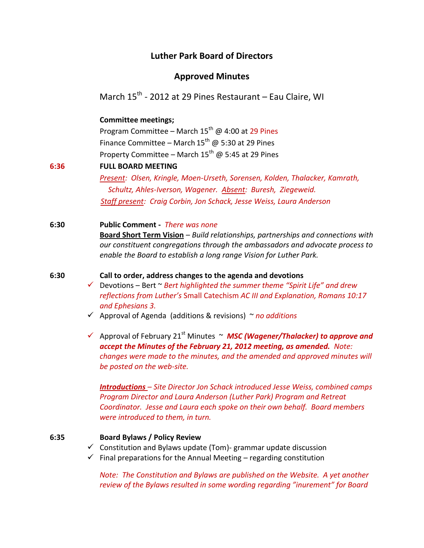# **Luther Park Board of Directors**

# **Approved Minutes**

March 15<sup>th</sup> - 2012 at 29 Pines Restaurant – Eau Claire, WI

## **Committee meetings;**

Program Committee – March  $15^{th}$  @ 4:00 at 29 Pines Finance Committee – March  $15^{th}$  @ 5:30 at 29 Pines Property Committee – March  $15^{th}$  @ 5:45 at 29 Pines

### **6:36 FULL BOARD MEETING**

*Present: Olsen, Kringle, Moen-Urseth, Sorensen, Kolden, Thalacker, Kamrath, Schultz, Ahles-Iverson, Wagener. Absent: Buresh, Ziegeweid. Staff present: Craig Corbin, Jon Schack, Jesse Weiss, Laura Anderson*

**6:30 Public Comment -** *There was none* **Board Short Term Vision** – *Build relationships, partnerships and connections with our constituent congregations through the ambassadors and advocate process to enable the Board to establish a long range Vision for Luther Park.*

### **6:30 Call to order, address changes to the agenda and devotions**

- Devotions Bert ~ *Bert highlighted the summer theme "Spirit Life" and drew reflections from Luther's* Small Catechism *AC III and Explanation, Romans 10:17 and Ephesians 3.*
- Approval of Agenda (additions & revisions) ~ *no additions*

 $\checkmark$  Approval of February 21<sup>st</sup> Minutes  $\sim$  MSC (Wagener/Thalacker) to approve and *accept the Minutes of the February 21, 2012 meeting, as amended. Note: changes were made to the minutes, and the amended and approved minutes will be posted on the web-site.*

*Introductions – Site Director Jon Schack introduced Jesse Weiss, combined camps Program Director and Laura Anderson (Luther Park) Program and Retreat Coordinator. Jesse and Laura each spoke on their own behalf. Board members were introduced to them, in turn.*

### **6:35 Board Bylaws / Policy Review**

- $\checkmark$  Constitution and Bylaws update (Tom)- grammar update discussion
- $\checkmark$  Final preparations for the Annual Meeting regarding constitution

*Note: The Constitution and Bylaws are published on the Website. A yet another review of the Bylaws resulted in some wording regarding "inurement" for Board*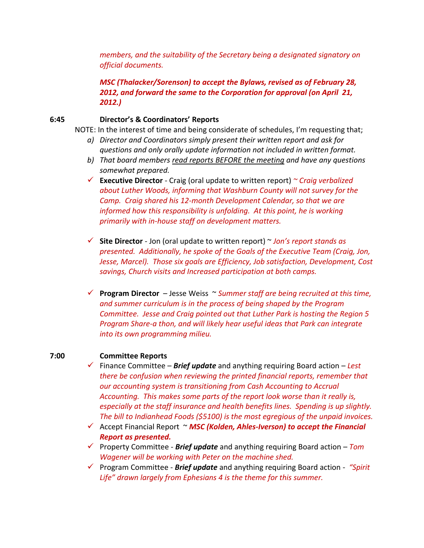*members, and the suitability of the Secretary being a designated signatory on official documents.* 

*MSC (Thalacker/Sorenson) to accept the Bylaws, revised as of February 28, 2012, and forward the same to the Corporation for approval (on April 21, 2012.)*

### **6:45 Director's & Coordinators' Reports**

NOTE: In the interest of time and being considerate of schedules, I'm requesting that;

- *a) Director and Coordinators simply present their written report and ask for questions and only orally update information not included in written format.*
- *b) That board members read reports BEFORE the meeting and have any questions somewhat prepared.*
- **Executive Director** Craig (oral update to written report) *~ Craig verbalized about Luther Woods, informing that Washburn County will not survey for the Camp. Craig shared his 12-month Development Calendar, so that we are informed how this responsibility is unfolding. At this point, he is working primarily with in-house staff on development matters.*
- **Site Director** Jon (oral update to written report) ~ *Jon's report stands as presented. Additionally, he spoke of the Goals of the Executive Team (Craig, Jon, Jesse, Marcel). Those six goals are Efficiency, Job satisfaction, Development, Cost savings, Church visits and Increased participation at both camps.*
- **Program Director**  Jesse Weiss ~ *Summer staff are being recruited at this time, and summer curriculum is in the process of being shaped by the Program Committee. Jesse and Craig pointed out that Luther Park is hosting the Region 5 Program Share-a thon, and will likely hear useful ideas that Park can integrate into its own programming milieu.*

#### **7:00 Committee Reports**

- Finance Committee *Brief update* and anything requiring Board action *Lest there be confusion when reviewing the printed financial reports, remember that our accounting system is transitioning from Cash Accounting to Accrual Accounting. This makes some parts of the report look worse than it really is, especially at the staff insurance and health benefits lines. Spending is up slightly. The bill to Indianhead Foods (\$5100) is the most egregious of the unpaid invoices.*
- Accept Financial Report ~ *MSC (Kolden, Ahles-Iverson) to accept the Financial Report as presented.*
- Property Committee *Brief update* and anything requiring Board action *Tom Wagener will be working with Peter on the machine shed.*
- Program Committee *Brief update* and anything requiring Board action *"Spirit Life" drawn largely from Ephesians 4 is the theme for this summer.*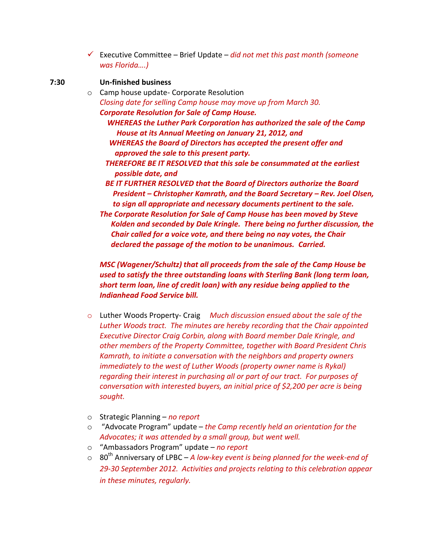Executive Committee – Brief Update – *did not met this past month (someone was Florida….)*

## **7:30 Un-finished business**

- o Camp house update- Corporate Resolution *Closing date for selling Camp house may move up from March 30. Corporate Resolution for Sale of Camp House.*
	- *WHEREAS the Luther Park Corporation has authorized the sale of the Camp House at its Annual Meeting on January 21, 2012, and WHEREAS the Board of Directors has accepted the present offer and*
	- *approved the sale to this present party.*
	- *THEREFORE BE IT RESOLVED that this sale be consummated at the earliest possible date, and*
	- *BE IT FURTHER RESOLVED that the Board of Directors authorize the Board President – Christopher Kamrath, and the Board Secretary – Rev. Joel Olsen, to sign all appropriate and necessary documents pertinent to the sale.*
	- *The Corporate Resolution for Sale of Camp House has been moved by Steve Kolden and seconded by Dale Kringle. There being no further discussion, the Chair called for a voice vote, and there being no nay votes, the Chair declared the passage of the motion to be unanimous. Carried.*

*MSC (Wagener/Schultz) that all proceeds from the sale of the Camp House be used to satisfy the three outstanding loans with Sterling Bank (long term loan, short term loan, line of credit loan) with any residue being applied to the Indianhead Food Service bill.*

- o Luther Woods Property- Craig *Much discussion ensued about the sale of the Luther Woods tract. The minutes are hereby recording that the Chair appointed Executive Director Craig Corbin, along with Board member Dale Kringle, and other members of the Property Committee, together with Board President Chris Kamrath, to initiate a conversation with the neighbors and property owners immediately to the west of Luther Woods (property owner name is Rykal) regarding their interest in purchasing all or part of our tract. For purposes of conversation with interested buyers, an initial price of \$2,200 per acre is being sought.*
- o Strategic Planning *no report*
- o "Advocate Program" update *the Camp recently held an orientation for the Advocates; it was attended by a small group, but went well.*
- o "Ambassadors Program" update *no report*
- o 80th Anniversary of LPBC *A low-key event is being planned for the week-end of 29-30 September 2012. Activities and projects relating to this celebration appear in these minutes, regularly.*